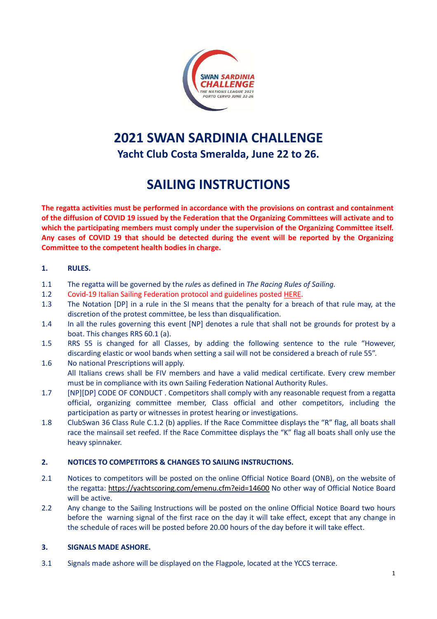

# **2021 SWAN SARDINIA CHALLENGE Yacht Club Costa Smeralda, June 22 to 26.**

# **SAILING INSTRUCTIONS**

**The regatta activities must be performed in accordance with the provisions on contrast and containment** of the diffusion of COVID 19 issued by the Federation that the Organizing Committees will activate and to **which the participating members must comply under the supervision of the Organizing Committee itself. Any cases of COVID 19 that should be detected during the event will be reported by the Organizing Committee to the competent health bodies in charge.**

#### **1. RULES.**

- 1.1 The regatta will be governed by the *rule*s as defined in *The Racing Rules of Sailing.*
- 1.2 Covid-19 Italian Sailing Federation protocol and guidelines posted [HERE.](http://www.federvela.it/images/Norme_organizzative_comportamentali.pdf)
- 1.3 The Notation [DP] in a rule in the SI means that the penalty for a breach of that rule may, at the discretion of the protest committee, be less than disqualification.
- 1.4 In all the rules governing this event [NP] denotes a rule that shall not be grounds for protest by a boat. This changes RRS 60.1 (a).
- 1.5 RRS 55 is changed for all Classes, by adding the following sentence to the rule "However, discarding elastic or wool bands when setting a sail will not be considered a breach of rule 55".
- 1.6 No national Prescriptions will apply. All Italians crews shall be FIV members and have a valid medical certificate. Every crew member must be in compliance with its own Sailing Federation National Authority Rules.
- 1.7 [NP][DP] CODE OF CONDUCT . Competitors shall comply with any reasonable request from a regatta official, organizing committee member, Class official and other competitors, including the participation as party or witnesses in protest hearing or investigations.
- 1.8 ClubSwan 36 Class Rule C.1.2 (b) applies. If the Race Committee displays the "R" flag, all boats shall race the mainsail set reefed. If the Race Committee displays the "K" flag all boats shall only use the heavy spinnaker.

## **2. NOTICES TO COMPETITORS & CHANGES TO SAILING INSTRUCTIONS.**

- 2.1 Notices to competitors will be posted on the online Official Notice Board (ONB), on the website of the regatta: <https://yachtscoring.com/emenu.cfm?eid=14600> No other way of Official Notice Board will be active.
- 2.2 Any change to the Sailing Instructions will be posted on the online Official Notice Board two hours before the warning signal of the first race on the day it will take effect, except that any change in the schedule of races will be posted before 20.00 hours of the day before it will take effect.

## **3. SIGNALS MADE ASHORE.**

3.1 Signals made ashore will be displayed on the Flagpole, located at the YCCS terrace.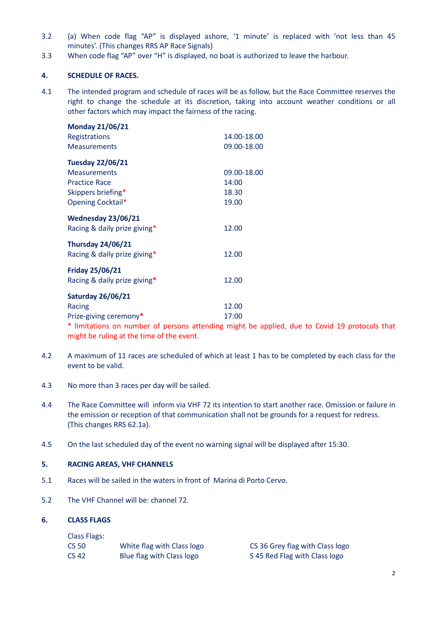- 3.2 (a) When code flag "AP" is displayed ashore, '1 minute' is replaced with 'not less than 45 minutes'. (This changes RRS AP Race Signals)
- 3.3 When code flag "AP" over "H" is displayed, no boat is authorized to leave the harbour.

#### **4. SCHEDULE OF RACES.**

4.1 The intended program and schedule of races will be as follow, but the Race Committee reserves the right to change the schedule at its discretion, taking into account weather conditions or all other factors which may impact the fairness of the racing.

| <b>Monday 21/06/21</b>                                 |             |
|--------------------------------------------------------|-------------|
| Registrations                                          | 14.00-18.00 |
| <b>Measurements</b>                                    | 09.00-18.00 |
| <b>Tuesday 22/06/21</b>                                |             |
| <b>Measurements</b>                                    | 09.00-18.00 |
| <b>Practice Race</b>                                   | 14:00       |
| Skippers briefing*                                     | 18.30       |
| Opening Cocktail*                                      | 19.00       |
| Wednesday 23/06/21                                     |             |
| Racing & daily prize giving*                           | 12.00       |
| <b>Thursday 24/06/21</b>                               |             |
| Racing & daily prize giving*                           | 12.00       |
| <b>Friday 25/06/21</b>                                 |             |
| Racing & daily prize giving*                           | 12.00       |
| <b>Saturday 26/06/21</b>                               |             |
| Racing                                                 | 12.00       |
| Prize-giving ceremony*                                 | 17:00       |
| * Unitations on number of noncons attending might be a |             |

limitations on number of persons attending might be applied, due to Covid 19 protocols that might be ruling at the time of the event.

- 4.2 A maximum of 11 races are scheduled of which at least 1 has to be completed by each class for the event to be valid.
- 4.3 No more than 3 races per day will be sailed.
- 4.4 The Race Committee will inform via VHF 72 its intention to start another race. Omission or failure in the emission or reception of that communication shall not be grounds for a request for redress. (This changes RRS 62.1a).
- 4.5 On the last scheduled day of the event no warning signal will be displayed after 15:30.

#### **5. RACING AREAS, VHF CHANNELS**

- 5.1 Races will be sailed in the waters in front of Marina di Porto Cervo.
- 5.2 The VHF Channel will be: channel 72.

#### **6. CLASS FLAGS**

| <b>Class Flags:</b> |                            |
|---------------------|----------------------------|
| <b>CS 50</b>        | White flag with Class logo |
| CS 42               | Blue flag with Class logo  |

CS 36 Grey flag with Class logo S 45 Red Flag with Class logo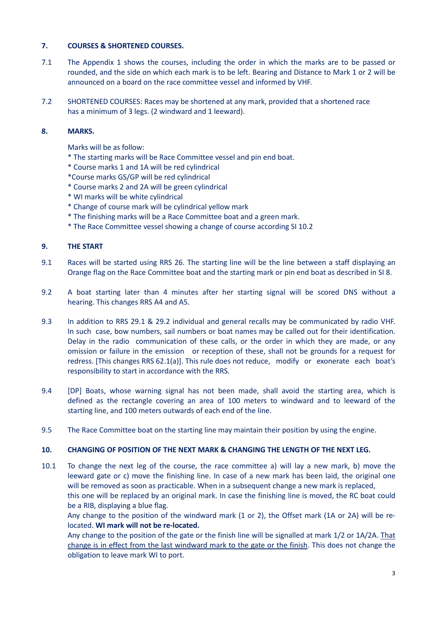#### **7. COURSES & SHORTENED COURSES.**

- 7.1 The Appendix 1 shows the courses, including the order in which the marks are to be passed or rounded, and the side on which each mark is to be left. Bearing and Distance to Mark 1 or 2 will be announced on a board on the race committee vessel and informed by VHF.
- 7.2 SHORTENED COURSES: Races may be shortened at any mark, provided that a shortened race has a minimum of 3 legs. (2 windward and 1 leeward).

#### **8. MARKS.**

Marks will be as follow:

- \* The starting marks will be Race Committee vessel and pin end boat.
- \* Course marks 1 and 1A will be red cylindrical
- \*Course marks GS/GP will be red cylindrical
- \* Course marks 2 and 2A will be green cylindrical
- \* WI marks will be white cylindrical
- \* Change of course mark will be cylindrical yellow mark
- \* The finishing marks will be a Race Committee boat and a green mark.
- \* The Race Committee vessel showing a change of course according SI 10.2

#### **9. THE START**

- 9.1 Races will be started using RRS 26. The starting line will be the line between a staff displaying an Orange flag on the Race Committee boat and the starting mark or pin end boat as described in SI 8.
- 9.2 A boat starting later than 4 minutes after her starting signal will be scored DNS without a hearing. This changes RRS A4 and A5.
- 9.3 In addition to RRS 29.1 & 29.2 individual and general recalls may be communicated by radio VHF. In such case, bow numbers, sail numbers or boat names may be called out for their identification. Delay in the radio communication of these calls, or the order in which they are made, or any omission or failure in the emission or reception of these, shall not be grounds for a request for redress. [This changes RRS 62.1(a)]. This rule does not reduce, modify or exonerate each boat's responsibility to start in accordance with the RRS.
- 9.4 [DP] Boats, whose warning signal has not been made, shall avoid the starting area, which is defined as the rectangle covering an area of 100 meters to windward and to leeward of the starting line, and 100 meters outwards of each end of the line.
- 9.5 The Race Committee boat on the starting line may maintain their position by using the engine.

#### **10. CHANGING OF POSITION OF THE NEXT MARK & CHANGING THE LENGTH OF THE NEXT LEG.**

10.1 To change the next leg of the course, the race committee a) will lay a new mark, b) move the leeward gate or c) move the finishing line. In case of a new mark has been laid, the original one will be removed as soon as practicable. When in a subsequent change a new mark is replaced, this one will be replaced by an original mark. In case the finishing line is moved, the RC boat could be a RIB, displaying a blue flag.

Any change to the position of the windward mark (1 or 2), the Offset mark (1A or 2A) will be relocated. **WI mark will not be re-located.**

Any change to the position of the gate or the finish line will be signalled at mark 1/2 or 1A/2A. That change is in effect from the last windward mark to the gate or the finish. This does not change the obligation to leave mark WI to port.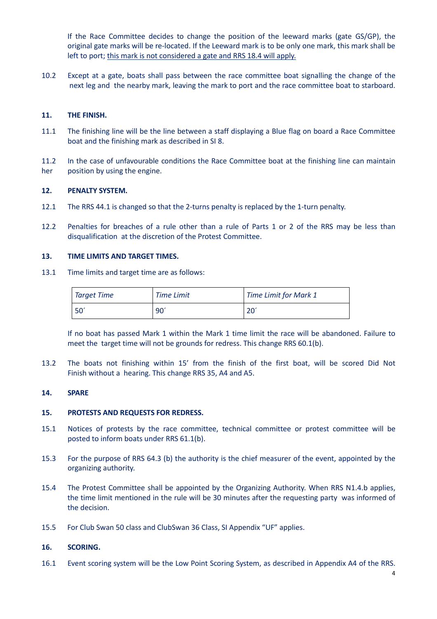If the Race Committee decides to change the position of the leeward marks (gate GS/GP), the original gate marks will be re-located. If the Leeward mark is to be only one mark, this mark shall be left to port; this mark is not considered a gate and RRS 18.4 will apply.

10.2 Except at a gate, boats shall pass between the race committee boat signalling the change of the next leg and the nearby mark, leaving the mark to port and the race committee boat to starboard.

#### **11. THE FINISH.**

- 11.1 The finishing line will be the line between a staff displaying a Blue flag on board a Race Committee boat and the finishing mark as described in SI 8.
- 11.2 In the case of unfavourable conditions the Race Committee boat at the finishing line can maintain her position by using the engine.

#### **12. PENALTY SYSTEM.**

- 12.1 The RRS 44.1 is changed so that the 2-turns penalty is replaced by the 1-turn penalty.
- 12.2 Penalties for breaches of a rule other than a rule of Parts 1 or 2 of the RRS may be less than disqualification at the discretion of the Protest Committee.

#### **13. TIME LIMITS AND TARGET TIMES.**

13.1 Time limits and target time are as follows:

| <b>Target Time</b> | <b>Time Limit</b> | <b>Time Limit for Mark 1</b> |
|--------------------|-------------------|------------------------------|
| $50^{\circ}$       | $.90^{\circ}$     | $20^{\circ}$                 |

If no boat has passed Mark 1 within the Mark 1 time limit the race will be abandoned. Failure to meet the target time will not be grounds for redress. This change RRS 60.1(b).

13.2 The boats not finishing within 15' from the finish of the first boat, will be scored Did Not Finish without a hearing. This change RRS 35, A4 and A5.

#### **14. SPARE**

#### **15. PROTESTS AND REQUESTS FOR REDRESS.**

- 15.1 Notices of protests by the race committee, technical committee or protest committee will be posted to inform boats under RRS 61.1(b).
- 15.3 For the purpose of RRS 64.3 (b) the authority is the chief measurer of the event, appointed by the organizing authority.
- 15.4 The Protest Committee shall be appointed by the Organizing Authority. When RRS N1.4.b applies, the time limit mentioned in the rule will be 30 minutes after the requesting party was informed of the decision.
- 15.5 For Club Swan 50 class and ClubSwan 36 Class, SI Appendix "UF" applies.

#### **16. SCORING.**

16.1 Event scoring system will be the Low Point Scoring System, as described in Appendix A4 of the RRS.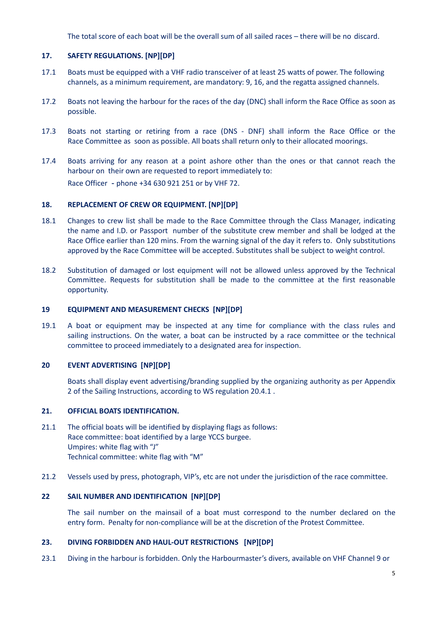The total score of each boat will be the overall sum of all sailed races – there will be no discard.

#### **17. SAFETY REGULATIONS. [NP][DP]**

- 17.1 Boats must be equipped with a VHF radio transceiver of at least 25 watts of power. The following channels, as a minimum requirement, are mandatory: 9, 16, and the regatta assigned channels.
- 17.2 Boats not leaving the harbour for the races of the day (DNC) shall inform the Race Office as soon as possible.
- 17.3 Boats not starting or retiring from a race (DNS DNF) shall inform the Race Office or the Race Committee as soon as possible. All boats shall return only to their allocated moorings.
- 17.4 Boats arriving for any reason at a point ashore other than the ones or that cannot reach the harbour on their own are requested to report immediately to: Race Officer - phone +34 630 921 251 or by VHF 72.

#### **18. REPLACEMENT OF CREW OR EQUIPMENT. [NP][DP]**

- 18.1 Changes to crew list shall be made to the Race Committee through the Class Manager, indicating the name and I.D. or Passport number of the substitute crew member and shall be lodged at the Race Office earlier than 120 mins. From the warning signal of the day it refers to. Only substitutions approved by the Race Committee will be accepted. Substitutes shall be subject to weight control.
- 18.2 Substitution of damaged or lost equipment will not be allowed unless approved by the Technical Committee. Requests for substitution shall be made to the committee at the first reasonable opportunity.

#### **19 EQUIPMENT AND MEASUREMENT CHECKS [NP][DP]**

19.1 A boat or equipment may be inspected at any time for compliance with the class rules and sailing instructions. On the water, a boat can be instructed by a race committee or the technical committee to proceed immediately to a designated area for inspection.

#### **20 EVENT ADVERTISING [NP][DP]**

Boats shall display event advertising/branding supplied by the organizing authority as per Appendix 2 of the Sailing Instructions, according to WS regulation 20.4.1 .

#### **21. OFFICIAL BOATS IDENTIFICATION.**

- 21.1 The official boats will be identified by displaying flags as follows: Race committee: boat identified by a large YCCS burgee. Umpires: white flag with "J" Technical committee: white flag with "M"
- 21.2 Vessels used by press, photograph, VIP's, etc are not under the jurisdiction of the race committee.

#### **22 SAIL NUMBER AND IDENTIFICATION [NP][DP]**

The sail number on the mainsail of a boat must correspond to the number declared on the entry form. Penalty for non-compliance will be at the discretion of the Protest Committee.

#### **23. DIVING FORBIDDEN AND HAUL-OUT RESTRICTIONS [NP][DP]**

23.1 Diving in the harbour is forbidden. Only the Harbourmaster's divers, available on VHF Channel 9 or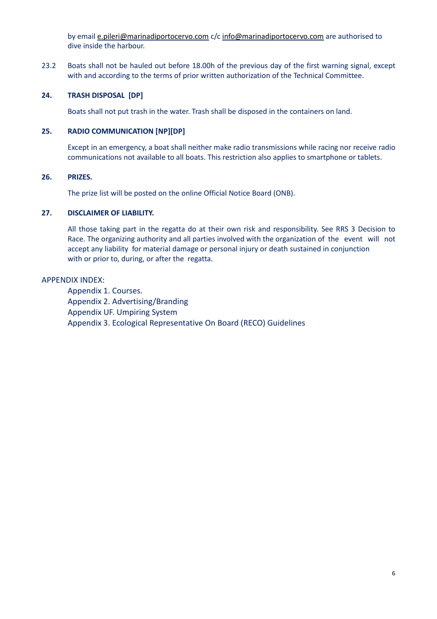by email [e.pileri@marinadiportocervo.com](mailto:e.pileri@marinadiportocervo.com) c/c [info@marinadiportocervo.com](mailto:info@marinadiportocervo.com) are authorised to dive inside the harbour.

23.2 Boats shall not be hauled out before 18.00h of the previous day of the first warning signal, except with and according to the terms of prior written authorization of the Technical Committee.

#### **24. TRASH DISPOSAL [DP]**

Boats shall not put trash in the water. Trash shall be disposed in the containers on land.

#### **25. RADIO COMMUNICATION [NP][DP]**

Except in an emergency, a boat shall neither make radio transmissions while racing nor receive radio communications not available to all boats. This restriction also applies to smartphone or tablets.

#### **26. PRIZES.**

The prize list will be posted on the online Official Notice Board (ONB).

#### **27. DISCLAIMER OF LIABILITY.**

All those taking part in the regatta do at their own risk and responsibility. See RRS 3 Decision to Race. The organizing authority and all parties involved with the organization of the event will not accept any liability for material damage or personal injury or death sustained in conjunction with or prior to, during, or after the regatta.

#### APPENDIX INDEX:

Appendix 1. Courses. Appendix 2. Advertising/Branding Appendix UF. Umpiring System Appendix 3. Ecological Representative On Board (RECO) Guidelines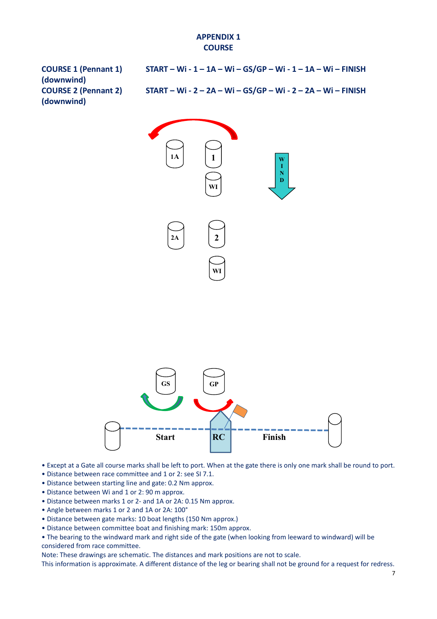# **APPENDIX 1 COURSE**

| <b>COURSE 1 (Pennant 1)</b><br>(downwind) | $STAT - Wi - 1 - 1A - Wi - GS/GP - Wi - 1 - 1A - Wi - FINISH$ |
|-------------------------------------------|---------------------------------------------------------------|
| <b>COURSE 2 (Pennant 2)</b>               | START - Wi - 2 - 2A - Wi - GS/GP - Wi - 2 - 2A - Wi - FINISH  |
| (downwind)                                |                                                               |





- Except at a Gate all course marks shall be left to port. When at the gate there is only one mark shall be round to port.
- Distance between race committee and 1 or 2: see SI 7.1.
- Distance between starting line and gate: 0.2 Nm approx.
- Distance between Wi and 1 or 2: 90 m approx.
- Distance between marks 1 or 2- and 1A or 2A: 0.15 Nm approx.
- Angle between marks 1 or 2 and 1A or 2A: 100°
- Distance between gate marks: 10 boat lengths (150 Nm approx.)
- Distance between committee boat and finishing mark: 150m approx.

• The bearing to the windward mark and right side of the gate (when looking from leeward to windward) will be considered from race committee.

Note: These drawings are schematic. The distances and mark positions are not to scale.

This information is approximate. A different distance of the leg or bearing shall not be ground for a request for redress.

7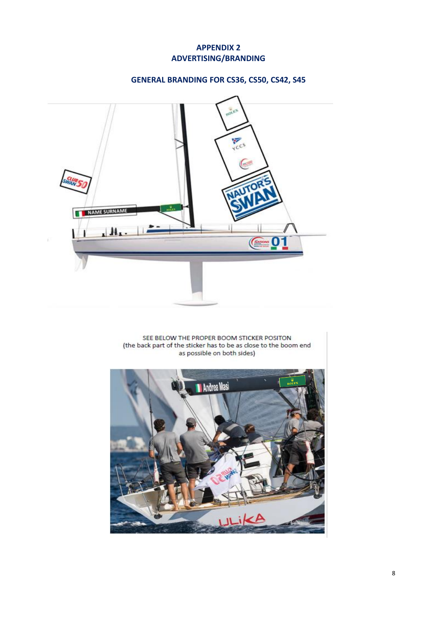# **APPENDIX 2 ADVERTISING/BRANDING**

# **GENERAL BRANDING FOR CS36, CS50, CS42, S45**



SEE BELOW THE PROPER BOOM STICKER POSITON (the back part of the sticker has to be as close to the boom end as possible on both sides)

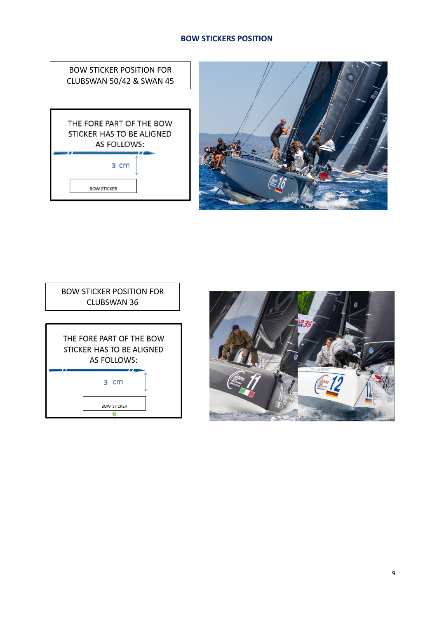# **BOW STICKERS POSITION**

BOW STICKER POSITION FOR CLUBSWAN 50/42 & SWAN 45

THE FORE PART OF THE BOW STICKER HAS TO BE ALIGNED AS FOLLOWS: 3 cm **BOW STICKER** 





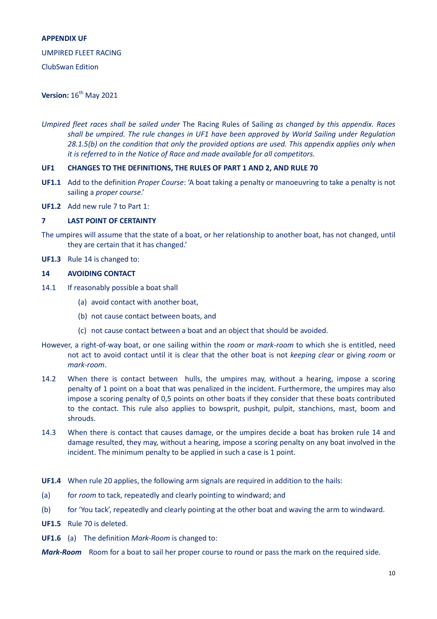#### **APPENDIX UF**

#### UMPIRED FLEET RACING

ClubSwan Edition

# **Version:** 16<sup>th</sup> May 2021

*Umpired fleet races shall be sailed under* The Racing Rules of Sailing *as changed by this appendix. Races shall be umpired. The rule changes in UF1 have been approved by World Sailing under Regulation 28.1.5(b) on the condition that only the provided options are used. This appendix applies only when it is referred to in the Notice of Race and made available for all competitors.*

#### **UF1 CHANGES TO THE DEFINITIONS, THE RULES OF PART 1 AND 2, AND RULE 70**

- **UF1.1** Add to the definition *Proper Course*: 'A boat taking a penalty or manoeuvring to take a penalty is not sailing a *proper course*.'
- **UF1.2** Add new rule 7 to Part 1:

#### **7 LAST POINT OF CERTAINTY**

- The umpires will assume that the state of a boat, or her relationship to another boat, has not changed, until they are certain that it has changed.'
- **UF1.3** Rule 14 is changed to:

#### **14 AVOIDING CONTACT**

- 14.1 If reasonably possible a boat shall
	- (a) avoid contact with another boat,
	- (b) not cause contact between boats, and
	- (c) not cause contact between a boat and an object that should be avoided.
- However, a right-of-way boat, or one sailing within the *room* or *mark-room* to which she is entitled, need not act to avoid contact until it is clear that the other boat is not *keeping clear* or giving *room* or *mark-room*.
- 14.2 When there is contact between hulls, the umpires may, without a hearing, impose a scoring penalty of 1 point on a boat that was penalized in the incident. Furthermore, the umpires may also impose a scoring penalty of 0,5 points on other boats if they consider that these boats contributed to the contact. This rule also applies to bowsprit, pushpit, pulpit, stanchions, mast, boom and shrouds.
- 14.3 When there is contact that causes damage, or the umpires decide a boat has broken rule 14 and damage resulted, they may, without a hearing, impose a scoring penalty on any boat involved in the incident. The minimum penalty to be applied in such a case is 1 point.
- **UF1.4** When rule 20 applies, the following arm signals are required in addition to the hails:
- (a) for *room* to tack, repeatedly and clearly pointing to windward; and
- (b) for 'You tack', repeatedly and clearly pointing at the other boat and waving the arm to windward.

**UF1.5** Rule 70 is deleted.

- **UF1.6** (a) The definition *Mark-Room* is changed to:
- *Mark-Room* Room for a boat to sail her proper course to round or pass the mark on the required side.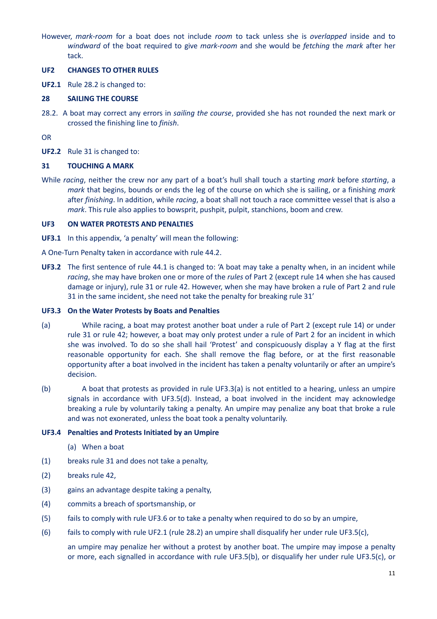However, *mark-room* for a boat does not include *room* to tack unless she is *overlapped* inside and to *windward* of the boat required to give *mark-room* and she would be *fetching* the *mark* after her tack.

#### **UF2 CHANGES TO OTHER RULES**

**UF2.1** Rule 28.2 is changed to:

#### **28 SAILING THE COURSE**

28.2. A boat may correct any errors in *sailing the course*, provided she has not rounded the next mark or crossed the finishing line to *finish*.

OR

**UF2.2** Rule 31 is changed to:

#### **31 TOUCHING A MARK**

While *racing*, neither the crew nor any part of a boat's hull shall touch a starting *mark* before *starting*, a *mark* that begins, bounds or ends the leg of the course on which she is sailing, or a finishing *mark* after *finishing*. In addition, while *racing*, a boat shall not touch a race committee vessel that is also a *mark*. This rule also applies to bowsprit, pushpit, pulpit, stanchions, boom and crew.

#### **UF3 ON WATER PROTESTS AND PENALTIES**

- **UF3.1** In this appendix, 'a penalty' will mean the following:
- A One-Turn Penalty taken in accordance with rule 44.2.
- **UF3.2** The first sentence of rule 44.1 is changed to: 'A boat may take a penalty when, in an incident while *racing*, she may have broken one or more of the *rules* of Part 2 (except rule 14 when she has caused damage or injury), rule 31 or rule 42. However, when she may have broken a rule of Part 2 and rule 31 in the same incident, she need not take the penalty for breaking rule 31'

#### **UF3.3 On the Water Protests by Boats and Penalties**

- (a) While racing, a boat may protest another boat under a rule of Part 2 (except rule 14) or under rule 31 or rule 42; however, a boat may only protest under a rule of Part 2 for an incident in which she was involved. To do so she shall hail 'Protest' and conspicuously display a Y flag at the first reasonable opportunity for each. She shall remove the flag before, or at the first reasonable opportunity after a boat involved in the incident has taken a penalty voluntarily or after an umpire's decision.
- (b) A boat that protests as provided in rule UF3.3(a) is not entitled to a hearing, unless an umpire signals in accordance with UF3.5(d). Instead, a boat involved in the incident may acknowledge breaking a rule by voluntarily taking a penalty. An umpire may penalize any boat that broke a rule and was not exonerated, unless the boat took a penalty voluntarily.

## **UF3.4 Penalties and Protests Initiated by an Umpire**

- (a) When a boat
- (1) breaks rule 31 and does not take a penalty,
- (2) breaks rule 42,
- (3) gains an advantage despite taking a penalty,
- (4) commits a breach of sportsmanship, or
- (5) fails to comply with rule UF3.6 or to take a penalty when required to do so by an umpire,
- (6) fails to comply with rule UF2.1 (rule 28.2) an umpire shall disqualify her under rule UF3.5(c),

an umpire may penalize her without a protest by another boat. The umpire may impose a penalty or more, each signalled in accordance with rule UF3.5(b), or disqualify her under rule UF3.5(c), or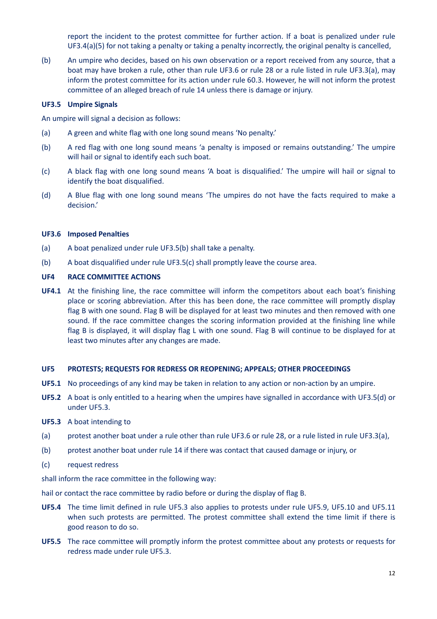report the incident to the protest committee for further action. If a boat is penalized under rule UF3.4(a)(5) for not taking a penalty or taking a penalty incorrectly, the original penalty is cancelled,

(b) An umpire who decides, based on his own observation or a report received from any source, that a boat may have broken a rule, other than rule UF3.6 or rule 28 or a rule listed in rule UF3.3(a), may inform the protest committee for its action under rule 60.3. However, he will not inform the protest committee of an alleged breach of rule 14 unless there is damage or injury.

#### **UF3.5 Umpire Signals**

An umpire will signal a decision as follows:

- (a) A green and white flag with one long sound means 'No penalty.'
- (b) A red flag with one long sound means 'a penalty is imposed or remains outstanding.' The umpire will hail or signal to identify each such boat.
- (c) A black flag with one long sound means 'A boat is disqualified.' The umpire will hail or signal to identify the boat disqualified.
- (d) A Blue flag with one long sound means 'The umpires do not have the facts required to make a decision.'

#### **UF3.6 Imposed Penalties**

- (a) A boat penalized under rule UF3.5(b) shall take a penalty.
- (b) A boat disqualified under rule UF3.5(c) shall promptly leave the course area.

#### **UF4 RACE COMMITTEE ACTIONS**

**UF4.1** At the finishing line, the race committee will inform the competitors about each boat's finishing place or scoring abbreviation. After this has been done, the race committee will promptly display flag B with one sound. Flag B will be displayed for at least two minutes and then removed with one sound. If the race committee changes the scoring information provided at the finishing line while flag B is displayed, it will display flag L with one sound. Flag B will continue to be displayed for at least two minutes after any changes are made.

#### **UF5 PROTESTS; REQUESTS FOR REDRESS OR REOPENING; APPEALS; OTHER PROCEEDINGS**

- **UF5.1** No proceedings of any kind may be taken in relation to any action or non-action by an umpire.
- **UF5.2** A boat is only entitled to a hearing when the umpires have signalled in accordance with UF3.5(d) or under UF5.3.
- **UF5.3** A boat intending to
- (a) protest another boat under a rule other than rule UF3.6 or rule 28, or a rule listed in rule UF3.3(a),
- (b) protest another boat under rule 14 if there was contact that caused damage or injury, or
- (c) request redress

shall inform the race committee in the following way:

hail or contact the race committee by radio before or during the display of flag B.

- **UF5.4** The time limit defined in rule UF5.3 also applies to protests under rule UF5.9, UF5.10 and UF5.11 when such protests are permitted. The protest committee shall extend the time limit if there is good reason to do so.
- **UF5.5** The race committee will promptly inform the protest committee about any protests or requests for redress made under rule UF5.3.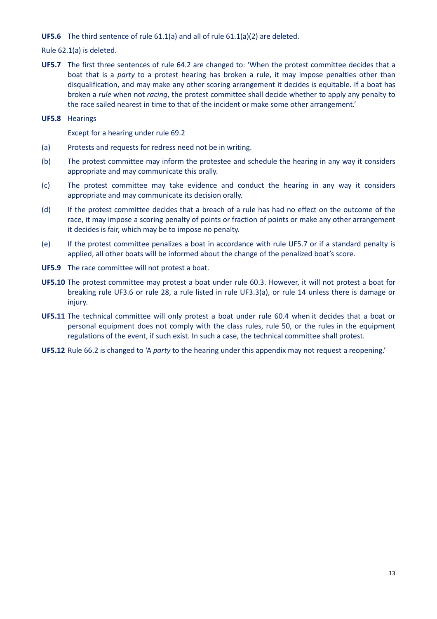#### **UF5.6** The third sentence of rule 61.1(a) and all of rule 61.1(a)(2) are deleted.

Rule 62.1(a) is deleted.

**UF5.7** The first three sentences of rule 64.2 are changed to: 'When the protest committee decides that a boat that is a *party* to a protest hearing has broken a rule, it may impose penalties other than disqualification, and may make any other scoring arrangement it decides is equitable. If a boat has broken a *rule* when not *racing*, the protest committee shall decide whether to apply any penalty to the race sailed nearest in time to that of the incident or make some other arrangement.'

**UF5.8** Hearings

Except for a hearing under rule 69.2

- (a) Protests and requests for redress need not be in writing.
- (b) The protest committee may inform the protestee and schedule the hearing in any way it considers appropriate and may communicate this orally.
- (c) The protest committee may take evidence and conduct the hearing in any way it considers appropriate and may communicate its decision orally.
- (d) If the protest committee decides that a breach of a rule has had no effect on the outcome of the race, it may impose a scoring penalty of points or fraction of points or make any other arrangement it decides is fair, which may be to impose no penalty.
- (e) If the protest committee penalizes a boat in accordance with rule UF5.7 or if a standard penalty is applied, all other boats will be informed about the change of the penalized boat's score.
- **UF5.9** The race committee will not protest a boat.
- **UF5.10** The protest committee may protest a boat under rule 60.3. However, it will not protest a boat for breaking rule UF3.6 or rule 28, a rule listed in rule UF3.3(a), or rule 14 unless there is damage or injury.
- **UF5.11** The technical committee will only protest a boat under rule 60.4 when it decides that a boat or personal equipment does not comply with the class rules, rule 50, or the rules in the equipment regulations of the event, if such exist. In such a case, the technical committee shall protest.
- **UF5.12** Rule 66.2 is changed to 'A *party* to the hearing under this appendix may not request a reopening.'